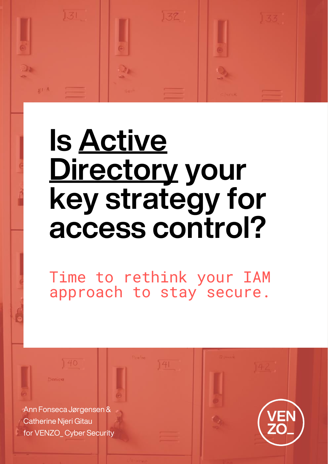# $1.37$

# **Is Active Directory your key strategy for access control?**

Time to rethink your IAM approach to stay secure.

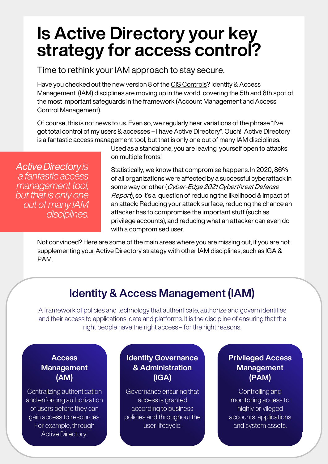## **Is Active Directory your key strategy for access control?**

Time to rethink your IAM approach to stay secure.

Have you checked out the new version 8 of the [CIS Controls?](https://www.cisecurity.org/controls/cis-controls-list/) Identity & Access Management (IAM) disciplines are moving up in the world, covering the 5th and 6th spot of the most important safeguards in the framework (Account Management and Access Control Management).

Of course, this is not news to us. Even so, we regularly hear variations of the phrase "I've got total control of my users & accesses – I have Active Directory". Ouch! Active Directory is a fantastic access management tool, but that is only one out of many IAM disciplines.

**Active Directory is** a fantastic access management tool, but that is only one out of many IAM disciplines. Used as a standalone, you are leaving yourself open to attacks on multiple fronts!

Statistically, we know that compromise happens. In 2020, 86% of all organizations were affected by a successful cyberattack in some way or other (Cyber-Edge 2021 Cyberthreat Defense Report, so it's a question of reducing the likelihood & impact of an attack: Reducing your attack surface, reducing the chance an attacker has to compromise the important stuff (such as privilege accounts), and reducing what an attacker can even do with a compromised user.

Not convinced? Here are some of the main areas where you are missing out, if you are not supplementing your Active Directory strategy with other IAM disciplines, such as IGA & PAM.

### **Identity & Access Management (IAM)**

A framework of policies and technology that authenticate, authorize and govern identities and their access to applications, data and platforms. It is the discipline of ensuring that the right people have the right access – for the right reasons.

#### **Access Management (AM)**

Centralizing authentication and enforcing authorization of users before they can gain access to resources. For example, through Active Directory.

#### **Identity Governance & Administration (IGA)**

Governance ensuring that access is granted according to business policies and throughout the user lifecycle.

#### **Privileged Access Management (PAM)**

Controlling and monitoring access to highly privileged accounts, applications and system assets.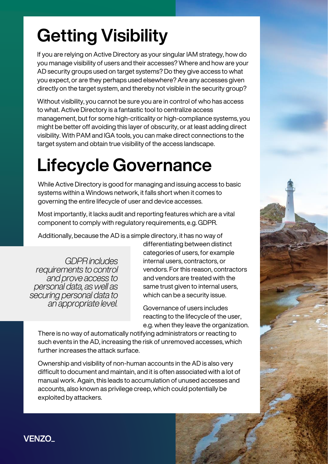# **Getting Visibility**

If you are relying on Active Directory as your singular IAM strategy, how do you manage visibility of users and their accesses? Where and how are your AD security groups used on target systems? Do they give access to what you expect, or are they perhaps used elsewhere? Are any accesses given directly on the target system, and thereby not visible in the security group?

Without visibility, you cannot be sure you are in control of who has access to what. Active Directory is a fantastic tool to centralize access management, but for some high-criticality or high-compliance systems, you might be better off avoiding this layer of obscurity, or at least adding direct visibility. With PAM and IGA tools, you can make direct connections to the target system and obtain true visibility of the access landscape.

# **Lifecycle Governance**

While Active Directory is good for managing and issuing access to basic systems within a Windows network, it falls short when it comes to governing the entire lifecycle of user and device accesses.

Most importantly, it lacks audit and reporting features which are a vital component to comply with regulatory requirements, e.g. GDPR.

Additionally, because the AD is a simple directory, it has no way of

**GDPR** includes requirements to control and prove access to personal data, as well as securing personal data to an appropriate level.

differentiating between distinct categories of users, for example internal users, contractors, or vendors. For this reason, contractors and vendors are treated with the same trust given to internal users, which can be a security issue.

Governance of users includes reacting to the lifecycle of the user, e.g. when they leave the organization.

There is no way of automatically notifying administrators or reacting to such events in the AD, increasing the risk of unremoved accesses, which further increases the attack surface.

Ownership and visibility of non-human accounts in the AD is also very difficult to document and maintain, and it is often associated with a lot of manual work. Again, this leads to accumulation of unused accesses and accounts, also known as privilege creep, which could potentially be exploited by attackers.

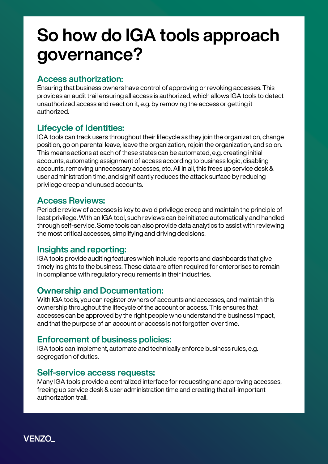## **So how do IGA tools approach governance?**

#### **Access authorization:**

Ensuring that business owners have control of approving or revoking accesses. This provides an audit trail ensuring all access is authorized, which allows IGA tools to detect unauthorized access and react on it, e.g. by removing the access or getting it authorized.

#### **Lifecycle of Identities:**

IGA tools can track users throughout their lifecycle as they join the organization, change position, go on parental leave, leave the organization, rejoin the organization, and so on. This means actions at each of these states can be automated, e.g. creating initial accounts, automating assignment of access according to business logic, disabling accounts, removing unnecessary accesses, etc. All in all, this frees up service desk & user administration time, and significantly reduces the attack surface by reducing privilege creep and unused accounts.

#### **Access Reviews:**

Periodic review of accesses is key to avoid privilege creep and maintain the principle of least privilege. With an IGA tool, such reviews can be initiated automatically and handled through self-service. Some tools can also provide data analytics to assist with reviewing the most critical accesses, simplifying and driving decisions.

#### **Insights and reporting:**

IGA tools provide auditing features which include reports and dashboards that give timely insights to the business. These data are often required for enterprises to remain in compliance with regulatory requirements in their industries.

#### **Ownership and Documentation:**

With IGA tools, you can register owners of accounts and accesses, and maintain this ownership throughout the lifecycle of the account or access. This ensures that accesses can be approved by the right people who understand the business impact, and that the purpose of an account or access is not forgotten over time.

#### **Enforcement of business policies:**

IGA tools can implement, automate and technically enforce business rules, e.g. segregation of duties.

#### **Self-service access requests:**

Many IGA tools provide a centralized interface for requesting and approving accesses, freeing up service desk & user administration time and creating that all-important authorization trail.

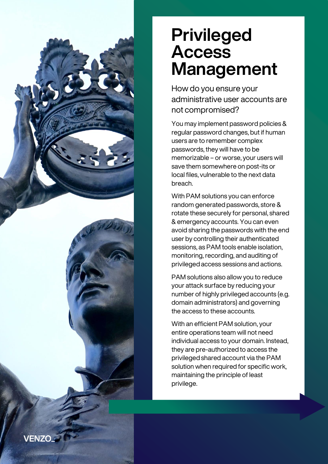## **Privileged Access Management**

How do you ensure your administrative user accounts are not compromised?

You may implement password policies & regular password changes, but if human users are to remember complex passwords, they will have to be memorizable – or worse, your users will save them somewhere on post-its or local files, vulnerable to the next data breach.

With PAM solutions you can enforce random generated passwords, store & rotate these securely for personal, shared & emergency accounts. You can even avoid sharing the passwords with the end user by controlling their authenticated sessions, as PAM tools enable isolation, monitoring, recording, and auditing of privileged access sessions and actions.

PAM solutions also allow you to reduce your attack surface by reducing your number of highly privileged accounts (e.g. domain administrators) and governing the access to these accounts.

With an efficient PAM solution, your entire operations team will not need individual access to your domain. Instead, they are pre-authorized to access the privileged shared account via the PAM solution when required for specific work, maintaining the principle of least privilege.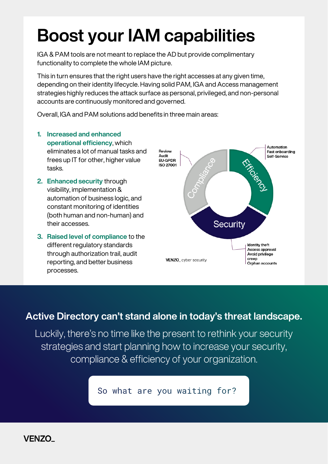## **Boost your IAM capabilities**

IGA & PAM tools are not meant to replace the AD but provide complimentary functionality to complete the whole IAM picture.

This in turn ensures that the right users have the right accesses at any given time, depending on their identity lifecycle. Having solid PAM, IGA and Access management strategies highly reduces the attack surface as personal, privileged, and non-personal accounts are continuously monitored and governed.

Overall, IGA and PAM solutions add benefits in three main areas:

- **1. Increased and enhanced operational efficiency**, which eliminates a lot of manual tasks and frees up IT for other, higher value tasks.
- **2. Enhanced security** through visibility, implementation & automation of business logic, and constant monitoring of identities (both human and non-human) and their accesses.
- **3. Raised level of compliance** to the different regulatory standards through authorization trail, audit reporting, and better business processes.



#### **Active Directory can't stand alone in today's threat landscape.**

Luckily, there's no time like the present to rethink your security strategies and start planning how to increase your security, compliance & efficiency of your organization.

So what are you waiting for?